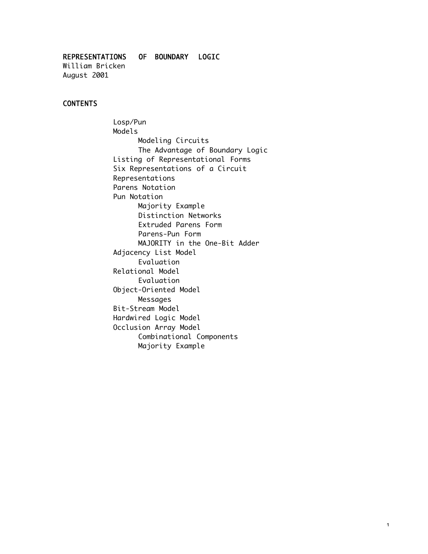REPRESENTATIONS OF BOUNDARY LOGIC William Bricken August 2001

#### CONTENTS

Losp/Pun Models Modeling Circuits The Advantage of Boundary Logic Listing of Representational Forms Six Representations of a Circuit Representations Parens Notation Pun Notation Majority Example Distinction Networks Extruded Parens Form Parens-Pun Form MAJORITY in the One-Bit Adder Adjacency List Model Evaluation Relational Model Evaluation Object-Oriented Model Messages Bit-Stream Model Hardwired Logic Model Occlusion Array Model Combinational Components Majority Example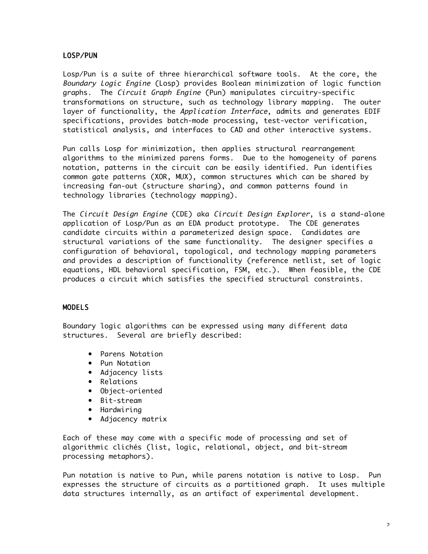# LOSP/PUN

Losp/Pun is a suite of three hierarchical software tools. At the core, the Boundary Logic Engine (Losp) provides Boolean minimization of logic function graphs. The Circuit Graph Engine (Pun) manipulates circuitry-specific transformations on structure, such as technology library mapping. The outer layer of functionality, the Application Interface, admits and generates EDIF specifications, provides batch-mode processing, test-vector verification, statistical analysis, and interfaces to CAD and other interactive systems.

Pun calls Losp for minimization, then applies structural rearrangement algorithms to the minimized parens forms. Due to the homogeneity of parens notation, patterns in the circuit can be easily identified. Pun identifies common gate patterns (XOR, MUX), common structures which can be shared by increasing fan-out (structure sharing), and common patterns found in technology libraries (technology mapping).

The Circuit Design Engine (CDE) aka Circuit Design Explorer, is a stand-alone application of Losp/Pun as an EDA product prototype. The CDE generates candidate circuits within a parameterized design space. Candidates are structural variations of the same functionality. The designer specifies a configuration of behavioral, topological, and technology mapping parameters and provides a description of functionality (reference netlist, set of logic equations, HDL behavioral specification, FSM, etc.). When feasible, the CDE produces a circuit which satisfies the specified structural constraints.

## MODELS

Boundary logic algorithms can be expressed using many different data structures. Several are briefly described:

- Parens Notation
- Pun Notation
- Adjacency lists
- Relations
- Object-oriented
- Bit-stream
- Hardwiring
- Adjacency matrix

Each of these may come with a specific mode of processing and set of algorithmic clichés (list, logic, relational, object, and bit-stream processing metaphors).

Pun notation is native to Pun, while parens notation is native to Losp. Pun expresses the structure of circuits as a partitioned graph. It uses multiple data structures internally, as an artifact of experimental development.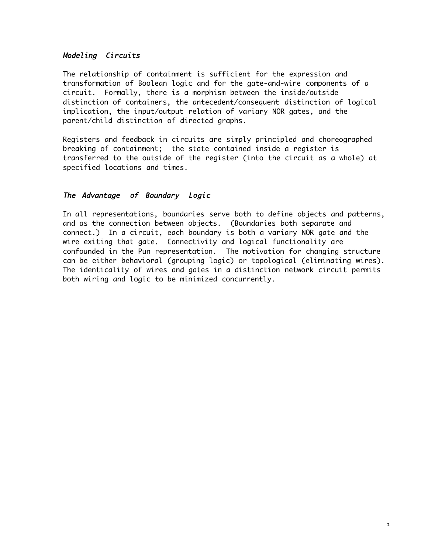# Modeling Circuits

The relationship of containment is sufficient for the expression and transformation of Boolean logic and for the gate-and-wire components of a circuit. Formally, there is a morphism between the inside/outside distinction of containers, the antecedent/consequent distinction of logical implication, the input/output relation of variary NOR gates, and the parent/child distinction of directed graphs.

Registers and feedback in circuits are simply principled and choreographed breaking of containment; the state contained inside a register is transferred to the outside of the register (into the circuit as a whole) at specified locations and times.

# The Advantage of Boundary Logic

In all representations, boundaries serve both to define objects and patterns, and as the connection between objects. (Boundaries both separate and connect.) In a circuit, each boundary is both a variary NOR gate and the wire exiting that gate. Connectivity and logical functionality are confounded in the Pun representation. The motivation for changing structure can be either behavioral (grouping logic) or topological (eliminating wires). The identicality of wires and gates in a distinction network circuit permits both wiring and logic to be minimized concurrently.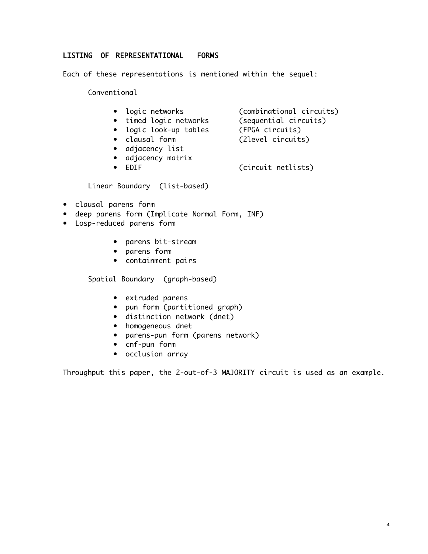## LISTING OF REPRESENTATIONAL FORMS

Each of these representations is mentioned within the sequel:

Conventional

- logic networks (combinational circuits)
- timed logic networks (sequential circuits)
- logic look-up tables (FPGA circuits)
- 
- clausal form (2level circuits)
- adjacency list
- adjacency matrix
- EDIF (circuit netlists)

Linear Boundary (list-based)

- clausal parens form
- deep parens form (Implicate Normal Form, INF)
- Losp-reduced parens form
	- parens bit-stream
	- parens form
	- containment pairs

Spatial Boundary (graph-based)

- extruded parens
- pun form (partitioned graph)
- distinction network (dnet)
- homogeneous dnet
- parens-pun form (parens network)
- cnf-pun form
- occlusion array

Throughput this paper, the 2-out-of-3 MAJORITY circuit is used as an example.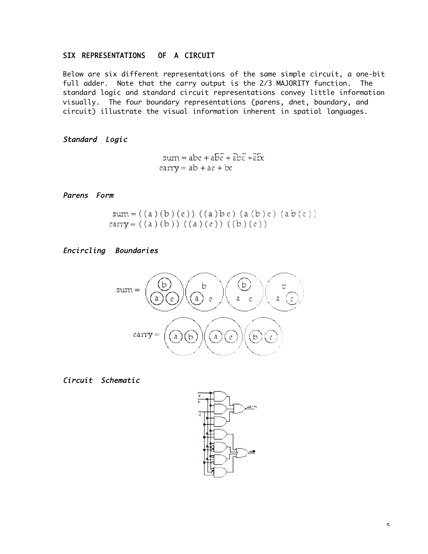# SIX REPRESENTATIONS OF A CIRCUIT

Below are six different representations of the same simple circuit, a one-bit full adder. Note that the carry output is the 2/3 MAJORITY function. The standard logic and standard circuit representations convey little information visually. The four boundary representations (parens, dnet, boundary, and circuit) illustrate the visual information inherent in spatial languages.

Standard Logic

 $sum = abc + a\overline{bc} + \overline{abc} + \overline{abc}$  $rary = ab + ac + bc$ 

Parens Form

sum =  $((a)(b)(c))((a)bc)(a(b)c)(ab(c))$ carry =  $((a)(b))((a)(c))((b)(c))$ 

Encircling Boundaries



## Circuit Schematic

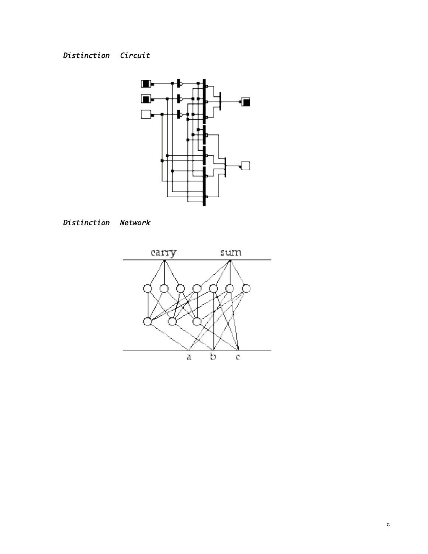# Distinction Circuit





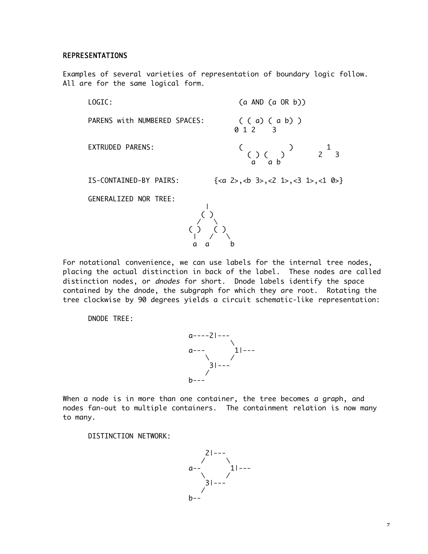#### REPRESENTATIONS

Examples of several varieties of representation of boundary logic follow. All are for the same logical form.

LOGIC: (a AND (a OR b)) PARENS with NUMBERED SPACES:  $($  ( a) ( a b) )<br>0 1 2 3 EXTRUDED PARENS: ( ) 1 ( ) ( ) 2 3 a a b IS-CONTAINED-BY PAIRS:  $\{<\alpha 2>, <\nb 3>, <\n2 1>, <\n3 1>, <\n1 0>\n\}$ 

GENERALIZED NOR TREE:



For notational convenience, we can use labels for the internal tree nodes, placing the actual distinction in back of the label. These nodes are called distinction nodes, or dnodes for short. Dnode labels identify the space contained by the dnode, the subgraph for which they are root. Rotating the tree clockwise by 90 degrees yields a circuit schematic-like representation:

DNODE TREE:



When a node is in more than one container, the tree becomes a graph, and nodes fan-out to multiple containers. The containment relation is now many to many.

DISTINCTION NETWORK:

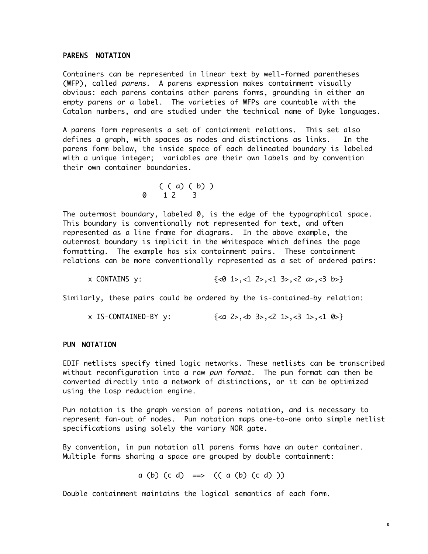#### PARENS NOTATION

Containers can be represented in linear text by well-formed parentheses (WFP), called parens. A parens expression makes containment visually obvious: each parens contains other parens forms, grounding in either an empty parens or a label. The varieties of WFPs are countable with the Catalan numbers, and are studied under the technical name of Dyke languages.

A parens form represents a set of containment relations. This set also defines a graph, with spaces as nodes and distinctions as links. In the parens form below, the inside space of each delineated boundary is labeled with a unique integer; variables are their own labels and by convention their own container boundaries.

$$
\begin{array}{cc} ( & ( & a) ( & b) ) \\ 0 & 1 2 & 3 \end{array}
$$

The outermost boundary, labeled 0, is the edge of the typographical space. This boundary is conventionally not represented for text, and often represented as a line frame for diagrams. In the above example, the outermost boundary is implicit in the whitespace which defines the page formatting. The example has six containment pairs. These containment relations can be more conventionally represented as a set of ordered pairs:

x CONTAINS y:  $\{\langle 0 \rangle 1 \rangle, \langle 1 \rangle 2 \rangle, \langle 1 \rangle 3 \rangle, \langle 2 \rangle 1 \rangle, \langle 3 \rangle$ 

Similarly, these pairs could be ordered by the is-contained-by relation:

 $x$  IS-CONTAINED-BY  $y$ :  $\{, **3>, c2, 1>, c3, 1, c1, 0> \}**$ 

#### PUN NOTATION

EDIF netlists specify timed logic networks. These netlists can be transcribed without reconfiguration into a raw pun format. The pun format can then be converted directly into a network of distinctions, or it can be optimized using the Losp reduction engine.

Pun notation is the graph version of parens notation, and is necessary to represent fan-out of nodes. Pun notation maps one-to-one onto simple netlist specifications using solely the variary NOR gate.

By convention, in pun notation all parens forms have an outer container. Multiple forms sharing a space are grouped by double containment:

a (b)  $(c d) \implies ((a (b) (c d)) )$ 

Double containment maintains the logical semantics of each form.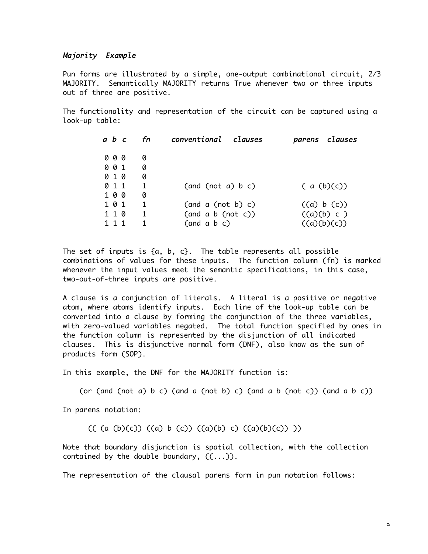#### Majority Example

Pun forms are illustrated by a simple, one-output combinational circuit, 2/3 MAJORITY. Semantically MAJORITY returns True whenever two or three inputs out of three are positive.

The functionality and representation of the circuit can be captured using a look-up table:

| a b c | fn | conventional clauses       |  |            | parens clauses |
|-------|----|----------------------------|--|------------|----------------|
| 000   | 0  |                            |  |            |                |
| 001   | 0  |                            |  |            |                |
| 010   | 0  |                            |  |            |                |
| 0 1 1 | 1  | (and (not a) b c)          |  | (a (b)(c)) |                |
| 100   | 0  |                            |  |            |                |
| 101   | 1  | (and a (not b) c)          |  |            | ((a) b (c))    |
| 110   | 1  | (and a b (not c))          |  |            | ((a)(b) c)     |
|       |    | (and a b c)<br>((a)(b)(c)) |  |            |                |

The set of inputs is  $\{a, b, c\}$ . The table represents all possible combinations of values for these inputs. The function column (fn) is marked whenever the input values meet the semantic specifications, in this case, two-out-of-three inputs are positive.

A clause is a conjunction of literals. A literal is a positive or negative atom, where atoms identify inputs. Each line of the look-up table can be converted into a clause by forming the conjunction of the three variables, with zero-valued variables negated. The total function specified by ones in the function column is represented by the disjunction of all indicated clauses. This is disjunctive normal form (DNF), also know as the sum of products form (SOP).

In this example, the DNF for the MAJORITY function is:

(or (and (not a) b c) (and a (not b) c) (and a b (not c)) (and a b c))

In parens notation:

(( (a (b)(c)) ((a) b (c)) ((a)(b) c) ((a)(b)(c)) ))

Note that boundary disjunction is spatial collection, with the collection contained by the double boundary,  $((\ldots))$ .

The representation of the clausal parens form in pun notation follows: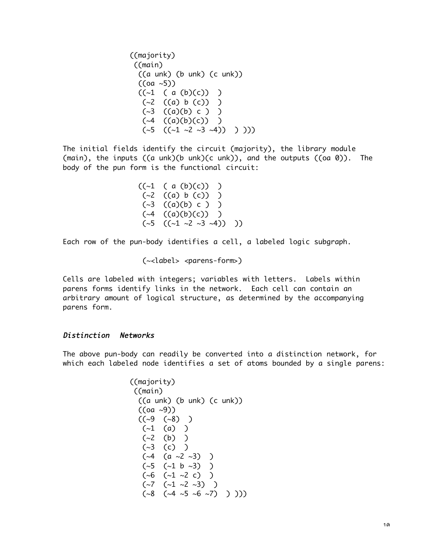((majority) ((main)  $((aunk) (bunk) (cunk))$  $((oa - 5))$  $((-1 (a (b)(c))) )$  $(\sim2$  ((a) b (c)) )  $(\sim3$  ((a)(b) c) )  $({\sim}4$   $((a)(b)(c))$  )  $({\sim}5$   $(({\sim}1 {\sim}2 {\sim}3 {\sim}4)) )$  )

The initial fields identify the circuit (majority), the library module (main), the inputs ((a unk)(b unk)(c unk)), and the outputs ((oa 0)). The body of the pun form is the functional circuit:

> $((-1 (a (b)(c))) )$  $(\sim 2$  ((a) b (c)) )  $(\sim 3$   $((a)(b) c) )$  $({\sim}4$   $((a)(b)(c))$  )  $({\sim}5$   $(({\sim}1 {\sim}2 {\sim}3 {\sim}4))$  )

Each row of the pun-body identifies a cell, a labeled logic subgraph.

(~<label> <parens-form>)

Cells are labeled with integers; variables with letters. Labels within parens forms identify links in the network. Each cell can contain an arbitrary amount of logical structure, as determined by the accompanying parens form.

## Distinction Networks

The above pun-body can readily be converted into a distinction network, for which each labeled node identifies a set of atoms bounded by a single parens:

> ((majority) ((main)  $((a)$  unk)  $(b)$  unk)  $(c)$  unk))  $((oa -9))$  $((\sim9 \ (\sim8) )$  $(-1)$  (a) )  $(\sim 2 \quad (b) )$  $(\sim3$  (c) )  $(*4 \ (a \sim 2 \sim 3))$  $(\sim 5 \sim 1 \text{ b } \sim 3) )$  $(\sim 6$   $(\sim 1 \sim 2 \text{ c})$  )  $(\sim 7 \quad (\sim 1 \sim 2 \sim 3) )$  $(\sim8$   $(\sim4 \sim5 \sim6 \sim7)$  )))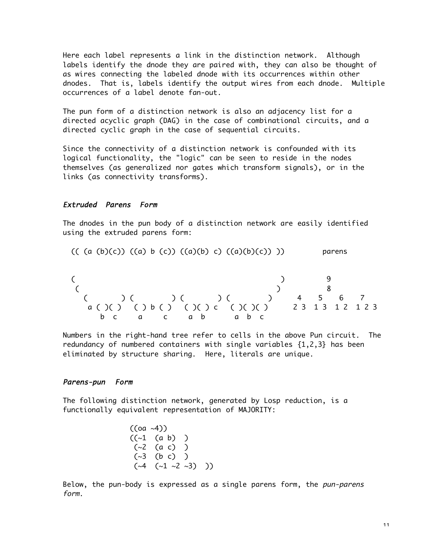Here each label represents a link in the distinction network. Although labels identify the dnode they are paired with, they can also be thought of as wires connecting the labeled dnode with its occurrences within other dnodes. That is, labels identify the output wires from each dnode. Multiple occurrences of a label denote fan-out.

The pun form of a distinction network is also an adjacency list for a directed acyclic graph (DAG) in the case of combinational circuits, and a directed cyclic graph in the case of sequential circuits.

Since the connectivity of a distinction network is confounded with its logical functionality, the "logic" can be seen to reside in the nodes themselves (as generalized nor gates which transform signals), or in the links (as connectivity transforms).

#### Extruded Parens Form

The dnodes in the pun body of a distinction network are easily identified using the extruded parens form:

$$
(( (a (b)(c)) ((a) b (c)) ((a)(b) c) ((a)(b)(c)))
$$
          parens

 ( ) 9 ( ) 8 ( ) ( ) ( ) ( ) 4 5 6 7 a ( )( ) ( ) b ( ) ( )( ) c ( )( )( ) 2 3 1 3 1 2 1 2 3 b c a c a b a b c

Numbers in the right-hand tree refer to cells in the above Pun circuit. The redundancy of numbered containers with single variables {1,2,3} has been eliminated by structure sharing. Here, literals are unique.

## Parens-pun Form

The following distinction network, generated by Losp reduction, is a functionally equivalent representation of MAJORITY:

$$
((oa \sim 4))
$$
  
\n $((\sim 1$  (a b)) )  
\n $(\sim 2$  (a c))  
\n $(\sim 3$  (b c))  
\n $(\sim 4$  (  $\sim 1$   $\sim 2$   $\sim 3$ ) ))

Below, the pun-body is expressed as a single parens form, the pun-parens form.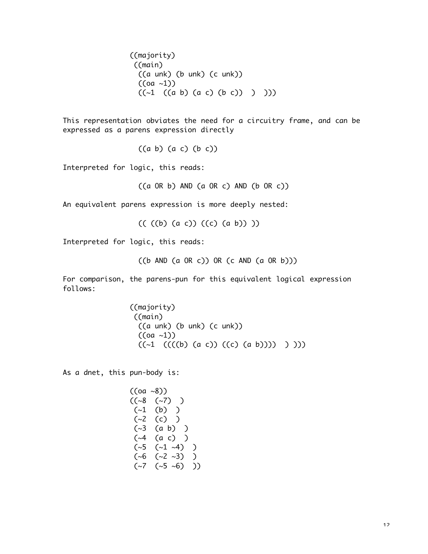((majority) ((main) ((a unk) (b unk) (c unk))  $((oa -1))$  $((-1 ((a b) (a c) (b c)) )$ 

This representation obviates the need for a circuitry frame, and can be expressed as a parens expression directly

((a b) (a c) (b c))

Interpreted for logic, this reads:

 $((a \tOR b) \tAND (a \tOR c) \tAND (b \tOR c))$ 

An equivalent parens expression is more deeply nested:

 $(( (b) (a c)) (c) (a b)))$ 

Interpreted for logic, this reads:

((b AND (a OR c)) OR (c AND (a OR b)))

For comparison, the parens-pun for this equivalent logical expression follows:

> ((majority) ((main) ((a unk) (b unk) (c unk))  $((oa -1))$  $((-1 \ ((((b) (a c)) ((c) (a b)))) ) ))$

As a dnet, this pun-body is:

$$
((\text{oa} \sim 8))
$$
  
\n
$$
((\sim 8 \quad (\sim 7) \quad )
$$
  
\n
$$
(\sim 1 \quad (b) \quad )
$$
  
\n
$$
(\sim 2 \quad (c) \quad )
$$
  
\n
$$
(\sim 3 \quad (a \quad b) \quad )
$$
  
\n
$$
(\sim 4 \quad (a \quad c) \quad )
$$
  
\n
$$
(\sim 5 \quad (\sim 1 \quad \sim 4) \quad )
$$
  
\n
$$
(\sim 6 \quad (\sim 2 \quad \sim 3) \quad )
$$
  
\n
$$
(\sim 7 \quad (\sim 5 \quad \sim 6) \quad ))
$$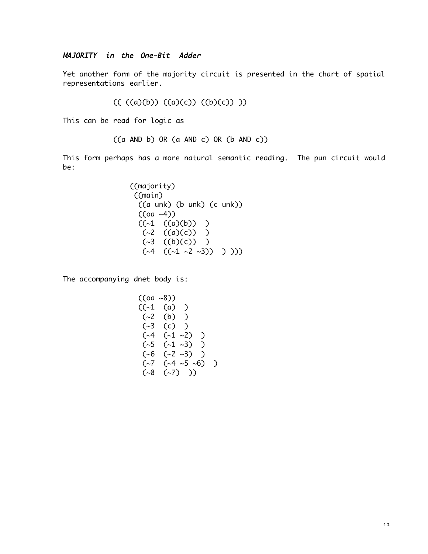## MAJORITY in the One-Bit Adder

Yet another form of the majority circuit is presented in the chart of spatial representations earlier.

 $(( (a)(b)) ((a)(c)) ((b)(c)))$ 

This can be read for logic as

((a AND b) OR (a AND c) OR (b AND c))

This form perhaps has a more natural semantic reading. The pun circuit would be:

> ((majority) ((main) ((a unk) (b unk) (c unk))  $((oa -4))$  $((-1 ((a)(b))) )$  $(\sim 2 \ (a)(c))$  )  $(\sim3$  ((b)(c)) )  $({\sim}4$   $(({\sim}1 {\sim}2 {\sim}3)) )$  )

The accompanying dnet body is:

$$
((oa \sim 8))
$$
  
\n
$$
((-1 (a)) )
$$
  
\n
$$
(-2 (b))
$$
  
\n
$$
(-3 (c))
$$
  
\n
$$
(-4 (-1 \sim 2)) )
$$
  
\n
$$
(-5 (-1 \sim 3)) )
$$
  
\n
$$
(-6 (-2 \sim 3)) )
$$
  
\n
$$
(-7 (-4 \sim 5 \sim 6)) )
$$
  
\n
$$
(-8 (-7)) )
$$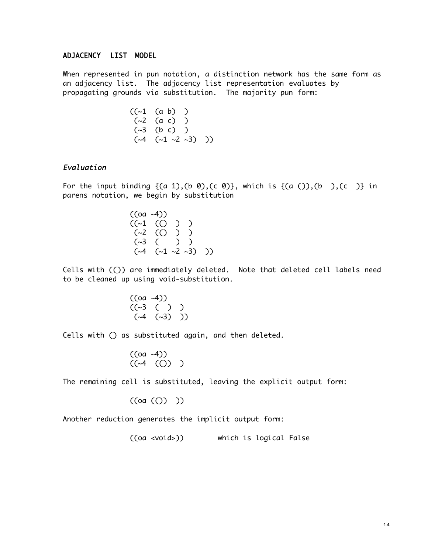# ADJACENCY LIST MODEL

When represented in pun notation, a distinction network has the same form as an adjacency list. The adjacency list representation evaluates by propagating grounds via substitution. The majority pun form:

$$
((\sim 1
$$
 (a b)) )  
\n( $\sim 2$  (a c) )  
\n( $\sim 3$  (b c) )  
\n( $\sim 4$  ( $\sim 1$   $\sim 2$   $\sim 3$ ) ))

## Evaluation

For the input binding  $\{(a 1), (b 0), (c 0)\}$ , which is  $\{(a ()), (b )\}$ ,  $(c )\}$  in parens notation, we begin by substitution

$$
((\text{oa} \sim 4))
$$
  
\n $((\sim 1 \quad ((\sim) \quad ) \quad )$   
\n $(\sim 2 \quad ((\sim) \quad ) \quad )$   
\n $(\sim 3 \quad (- \quad ) \quad )$   
\n $(\sim 4 \quad (-1 \sim 2 \sim 3) \quad ))$ 

Cells with (()) are immediately deleted. Note that deleted cell labels need to be cleaned up using void-substitution.

$$
((\text{oa}~4))
$$
  
 $((\sim3 ( ) ) )$   
 $(\sim4 ( \sim3 ) ))$ 

Cells with () as substituted again, and then deleted.

$$
((oa \sim 4))
$$

$$
((\sim 4 \quad (()) \quad )
$$

The remaining cell is substituted, leaving the explicit output form:

$$
((oa (()) ))
$$

Another reduction generates the implicit output form:

((oa <void>)) which is logical False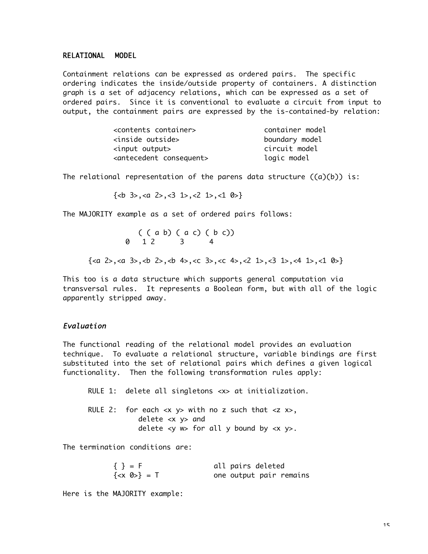#### RELATIONAL MODEL

Containment relations can be expressed as ordered pairs. The specific ordering indicates the inside/outside property of containers. A distinction graph is a set of adjacency relations, which can be expressed as a set of ordered pairs. Since it is conventional to evaluate a circuit from input to output, the containment pairs are expressed by the is-contained-by relation:

| <contents container=""></contents>      | container model |
|-----------------------------------------|-----------------|
| <inside outside=""></inside>            | boundary model  |
| <input output=""/>                      | circuit model   |
| <antecedent consequent=""></antecedent> | logic model     |

The relational representation of the parens data structure  $((a)(b))$  is:

 $\{\langle b \rangle \}$  3>, $\langle a \rangle$  2>, $\langle 3 \rangle$  1>, $\langle 2 \rangle$  1>, $\langle 1 \rangle$  0>}

The MAJORITY example as a set of ordered pairs follows:

( ( a b) ( a c) ( b c)) 0 1 2 3 4

 $\{2>, 3>, \\*\\*2, \\*\\*4\\*\\*, \\*\\*2, \\*\\*4\\*\\*, \\*\\*3, \\*\\*4\\*\\*, \\*\\*4, \\*\\*2, \\*\\*4\\*\\*, \\*\\*2, \\*\\*4\\*\\*, \\*\\*3, \\*\\*4\\*\\*, \\*\\*4, \\*\\*1\\*\\*, \\*\\*4, \\*\\*1\\*\\*, \\*\\*4, \\*\\*1\\*\\*\}\\*\\*\\*\\*\\*\\*\\*\\*\\*\\*\\*\\*\\*\\*\\*\\*\\*\\*\\*\\*$ 

This too is a data structure which supports general computation via transversal rules. It represents a Boolean form, but with all of the logic apparently stripped away.

#### Evaluation

The functional reading of the relational model provides an evaluation technique. To evaluate a relational structure, variable bindings are first substituted into the set of relational pairs which defines a given logical functionality. Then the following transformation rules apply:

RULE 1: delete all singletons <x> at initialization.

RULE 2: for each  $\langle x \rangle$  with no z such that  $\langle z \rangle$ , delete <x y> and delete  $w> for all y bound by  $y>.$$ 

The termination conditions are:

| $\{ \} = F$  | all pairs deleted       |
|--------------|-------------------------|
| $\{  \} = T$ | one output pair remains |

Here is the MAJORITY example: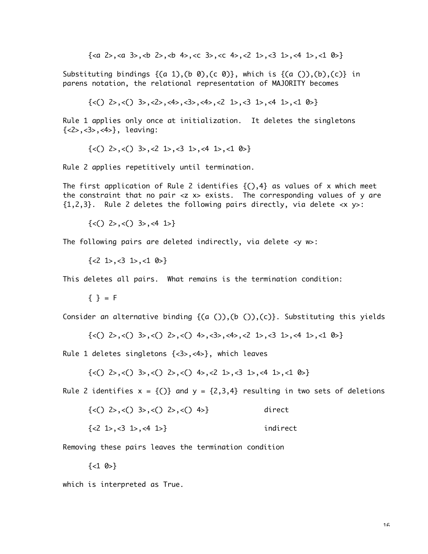{<a 2>,<a 3>,<b 2>,<b 4>,<c 3>,<c 4>,<2 1>,<3 1>,<4 1>,<1 0>}

Substituting bindings  $\{(a 1), (b 0), (c 0)\}$ , which is  $\{(a ()), (b), (c)\}$  in parens notation, the relational representation of MAJORITY becomes

 $\{\langle \cdot \rangle$  2>, $\langle \cdot \rangle$  3>, $\langle \cdot \rangle$ , $\langle \cdot \rangle$ , $\langle \cdot \rangle$ , $\langle \cdot \rangle$ , $\langle \cdot \rangle$ , $\langle \cdot \rangle$ , $\langle \cdot \rangle$ , $\langle \cdot \rangle$ , $\langle \cdot \rangle$ , $\langle \cdot \rangle$ , $\langle \cdot \rangle$ , $\langle \cdot \rangle$ , $\langle \cdot \rangle$ , $\langle \cdot \rangle$ , $\langle \cdot \rangle$ , $\langle \cdot \rangle$ , $\langle \cdot \rangle$ , $\langle \cdot \rangle$ , $\langle \cdot \rangle$ , $\langle \cdot \rangle$ , $\langle \cdot \rangle$ , $\langle \cdot \rangle$ 

Rule 1 applies only once at initialization. It deletes the singletons {<2>,<3>,<4>}, leaving:

 $\{<() 2>, (() 3>, (2 1), (3 1), (4 1), (1 0)\}$ 

Rule 2 applies repetitively until termination.

The first application of Rule 2 identifies  $\{(.)$ ,4} as values of x which meet the constraint that no pair <z x> exists. The corresponding values of y are  ${1,2,3}$ . Rule 2 deletes the following pairs directly, via delete  $\langle x \rangle$  y>:

 $\{<() 2>,<() 3>,<(4) 1\}$ 

The following pairs are deleted indirectly, via delete <y w>:

 $\{<2\}$  1>, $<3\}$  1>, $<1\}$  0>}

This deletes all pairs. What remains is the termination condition:

 ${ }$  { } = F

Consider an alternative binding  $\{(a)(c), (b)(c)\}$ . Substituting this yields

 $\{\langle\zeta() \rangle\}$  2>, $\langle\zeta() \rangle\}$  3>, $\langle\zeta() \rangle\$ 2>, $\langle\zeta() \rangle\$ 4>, $\langle\zeta() \rangle\$ 4>, $\langle\zeta() \rangle\$ 4>, $\langle\zeta() \rangle\$ 

Rule 1 deletes singletons {<3>,<4>}, which leaves

 $\{\langle\zeta() \rangle \rangle, \langle\zeta() \rangle, \langle\zeta() \rangle, \langle\zeta() \rangle, \langle\zeta() \rangle, \langle\zeta() \rangle, \langle\zeta() \rangle, \langle\zeta() \rangle, \langle\zeta() \rangle\}$ 

Rule 2 identifies  $x = \{()\}$  and  $y = \{2,3,4\}$  resulting in two sets of deletions

 $\{\langle \rangle \}$  2>, $\langle \rangle$  3>, $\langle \rangle$  2>, $\langle \rangle$  4>} direct

 $\{<2\}$  1>, $<3\}$  1>, $<4\}$  1>} indirect

Removing these pairs leaves the termination condition

 $\{<1, 0>\}$ 

which is interpreted as True.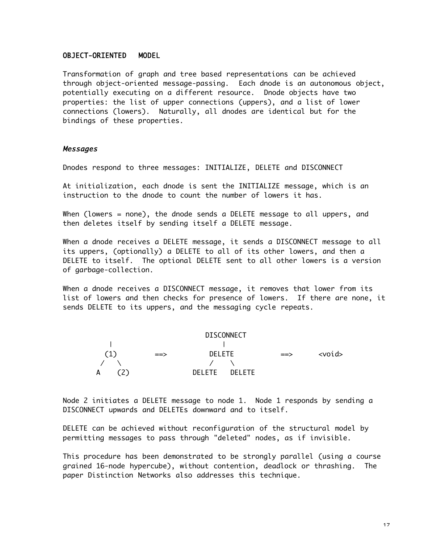#### OBJECT-ORIENTED MODEL

Transformation of graph and tree based representations can be achieved through object-oriented message-passing. Each dnode is an autonomous object, potentially executing on a different resource. Dnode objects have two properties: the list of upper connections (uppers), and a list of lower connections (lowers). Naturally, all dnodes are identical but for the bindings of these properties.

#### Messages

Dnodes respond to three messages: INITIALIZE, DELETE and DISCONNECT

At initialization, each dnode is sent the INITIALIZE message, which is an instruction to the dnode to count the number of lowers it has.

When (lowers = none), the dnode sends a DELETE message to all uppers, and then deletes itself by sending itself a DELETE message.

When a dnode receives a DELETE message, it sends a DISCONNECT message to all its uppers, (optionally) a DELETE to all of its other lowers, and then a DELETE to itself. The optional DELETE sent to all other lowers is a version of garbage-collection.

When a dnode receives a DISCONNECT message, it removes that lower from its list of lowers and then checks for presence of lowers. If there are none, it sends DELETE to its uppers, and the messaging cycle repeats.



Node 2 initiates a DELETE message to node 1. Node 1 responds by sending a DISCONNECT upwards and DELETEs downward and to itself.

DELETE can be achieved without reconfiguration of the structural model by permitting messages to pass through "deleted" nodes, as if invisible.

This procedure has been demonstrated to be strongly parallel (using a course grained 16-node hypercube), without contention, deadlock or thrashing. The paper Distinction Networks also addresses this technique.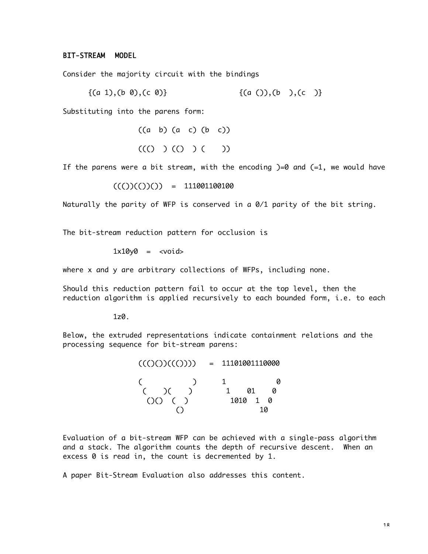## BIT-STREAM MODEL

Consider the majority circuit with the bindings

$$
\{(a 1), (b 0), (c 0)\}\qquad \{(a ()), (b ), (c )\}
$$

Substituting into the parens form:

 $((a \ b) (a \ c) (b \ c))$  $((() (O (O (C))$ 

If the parens were a bit stream, with the encoding  $)=0$  and  $(=1,$  we would have

 $((())((())() ) = 111001100100$ 

Naturally the parity of WFP is conserved in a 0/1 parity of the bit string.

The bit-stream reduction pattern for occlusion is

 $1x10y0 = xvoid$ 

where x and y are arbitrary collections of WFPs, including none.

Should this reduction pattern fail to occur at the top level, then the reduction algorithm is applied recursively to each bounded form, i.e. to each

 $1z0$ .

Below, the extruded representations indicate containment relations and the processing sequence for bit-stream parens:

> $((()())((()))) = 11101001110000$  $($  ) 1 0 ( )( ) 1 01 0 ()() ( ) 1010 1 0  $\bigcirc$  10

Evaluation of a bit-stream WFP can be achieved with a single-pass algorithm and a stack. The algorithm counts the depth of recursive descent. When an excess 0 is read in, the count is decremented by 1.

A paper Bit-Stream Evaluation also addresses this content.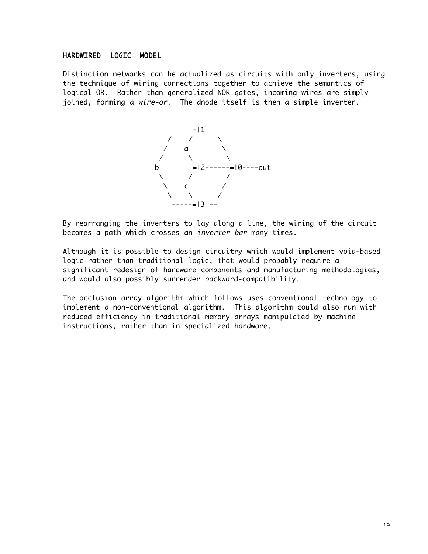## HARDWIRED LOGIC MODEL

Distinction networks can be actualized as circuits with only inverters, using the technique of wiring connections together to achieve the semantics of logical OR. Rather than generalized NOR gates, incoming wires are simply joined, forming a wire-or. The dnode itself is then a simple inverter.



By rearranging the inverters to lay along a line, the wiring of the circuit becomes a path which crosses an inverter bar many times.

Although it is possible to design circuitry which would implement void-based logic rather than traditional logic, that would probably require a significant redesign of hardware components and manufacturing methodologies, and would also possibly surrender backward-compatibility.

The occlusion array algorithm which follows uses conventional technology to implement a non-conventional algorithm. This algorithm could also run with reduced efficiency in traditional memory arrays manipulated by machine instructions, rather than in specialized hardware.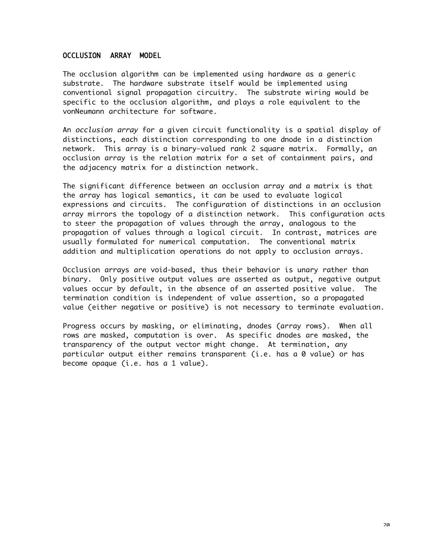## OCCLUSION ARRAY MODEL

The occlusion algorithm can be implemented using hardware as a generic substrate. The hardware substrate itself would be implemented using conventional signal propagation circuitry. The substrate wiring would be specific to the occlusion algorithm, and plays a role equivalent to the vonNeumann architecture for software.

An occlusion array for a given circuit functionality is a spatial display of distinctions, each distinction corresponding to one dnode in a distinction network. This array is a binary-valued rank 2 square matrix. Formally, an occlusion array is the relation matrix for a set of containment pairs, and the adjacency matrix for a distinction network.

The significant difference between an occlusion array and a matrix is that the array has logical semantics, it can be used to evaluate logical expressions and circuits. The configuration of distinctions in an occlusion array mirrors the topology of a distinction network. This configuration acts to steer the propagation of values through the array, analogous to the propagation of values through a logical circuit. In contrast, matrices are usually formulated for numerical computation. The conventional matrix addition and multiplication operations do not apply to occlusion arrays.

Occlusion arrays are void-based, thus their behavior is unary rather than binary. Only positive output values are asserted as output, negative output values occur by default, in the absence of an asserted positive value. The termination condition is independent of value assertion, so a propagated value (either negative or positive) is not necessary to terminate evaluation.

Progress occurs by masking, or eliminating, dnodes (array rows). When all rows are masked, computation is over. As specific dnodes are masked, the transparency of the output vector might change. At termination, any particular output either remains transparent (i.e. has a 0 value) or has become opaque (i.e. has a 1 value).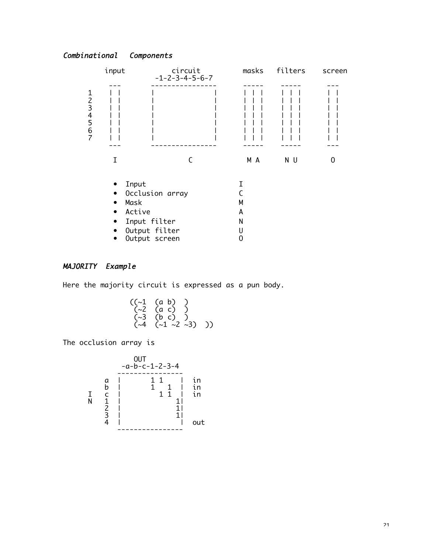# Combinational Components



## MAJORITY Example

Here the majority circuit is expressed as a pun body.

$$
((\sim 1
$$
 (a b)) )  
\n $(\sim 2$  (a c)) )  
\n $(\sim 3$  (b c)) )  
\n $(\sim 4$  ( $\sim 1$   $\sim 2$   $\sim 3$ ) ))

The occlusion array is